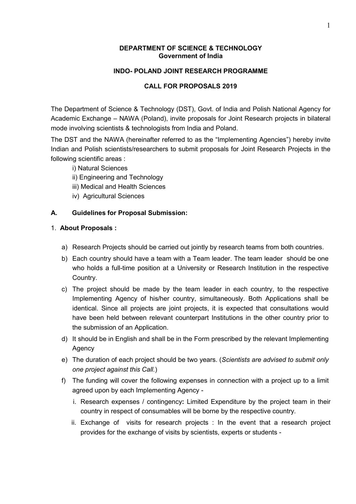#### DEPARTMENT OF SCIENCE & TECHNOLOGY Government of India

#### INDO- POLAND JOINT RESEARCH PROGRAMME

#### CALL FOR PROPOSALS 2019

The [Department of Science & Technology](http://www.dst.gov.in/) (DST), Govt. of India and Polish National Agency for Academic Exchange – NAWA (Poland), invite proposals for Joint Research projects in bilateral mode involving scientists & technologists from India and Poland.

The DST and the NAWA (hereinafter referred to as the "Implementing Agencies") hereby invite Indian and Polish scientists/researchers to submit proposals for Joint Research Projects in the following scientific areas :

- i) Natural Sciences
- ii) Engineering and Technology
- iii) Medical and Health Sciences
- iv) Agricultural Sciences

# A. Guidelines for Proposal Submission:

# 1. About Proposals :

- a) Research Projects should be carried out jointly by research teams from both countries.
- b) Each country should have a team with a Team leader. The team leader should be one who holds a full-time position at a University or Research Institution in the respective Country.
- c) The project should be made by the team leader in each country, to the respective Implementing Agency of his/her country, simultaneously. Both Applications shall be identical. Since all projects are joint projects, it is expected that consultations would have been held between relevant counterpart Institutions in the other country prior to the submission of an Application.
- d) It should be in English and shall be in the Form prescribed by the relevant Implementing Agency
- e) The duration of each project should be two years. (*Scientists are advised to submit only one project against this Call.*)
- f) The funding will cover the following expenses in connection with a project up to a limit agreed upon by each Implementing Agency
	- i. Research expenses / contingency: Limited Expenditure by the project team in their country in respect of consumables will be borne by the respective country.
	- ii. Exchange of visits for research projects : In the event that a research project provides for the exchange of visits by scientists, experts or students -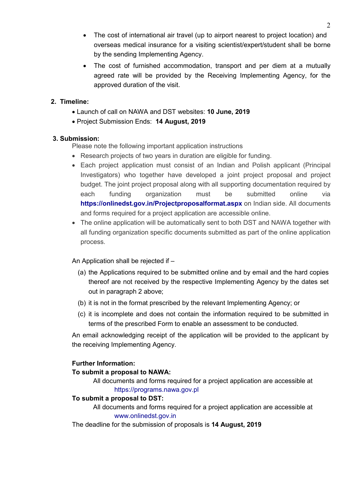- The cost of international air travel (up to airport nearest to project location) and overseas medical insurance for a visiting scientist/expert/student shall be borne by the sending Implementing Agency.
- The cost of furnished accommodation, transport and per diem at a mutually agreed rate will be provided by the Receiving Implementing Agency, for the approved duration of the visit.

# 2. Timeline:

- Launch of call on NAWA and DST websites: 10 June, 2019
- Project Submission Ends: 14 August, 2019

# 3. Submission:

Please note the following important application instructions

- Research projects of two years in duration are eligible for funding.
- Each project application must consist of an Indian and Polish applicant (Principal Investigators) who together have developed a joint project proposal and project budget. The joint project proposal along with all supporting documentation required by each funding organization must be submitted online via https://onlinedst.gov.in/Projectproposalformat.aspx on Indian side. All documents and forms required for a project application are accessible online.
- The online application will be automatically sent to both DST and NAWA together with all funding organization specific documents submitted as part of the online application process.

# An Application shall be rejected if –

- (a) the Applications required to be submitted online and by email and the hard copies thereof are not received by the respective Implementing Agency by the dates set out in paragraph 2 above;
- (b) it is not in the format prescribed by the relevant Implementing Agency; or
- (c) it is incomplete and does not contain the information required to be submitted in terms of the prescribed Form to enable an assessment to be conducted.

An email acknowledging receipt of the application will be provided to the applicant by the receiving Implementing Agency.

# Further Information:

# To submit a proposal to NAWA:

All documents and forms required for a project application are accessible at https://programs.nawa.gov.pl

# To submit a proposal to DST:

All documents and forms required for a project application are accessible at [www.onlinedst.gov.in](http://www.onlinedst.gov.in/)

The deadline for the submission of proposals is 14 August, 2019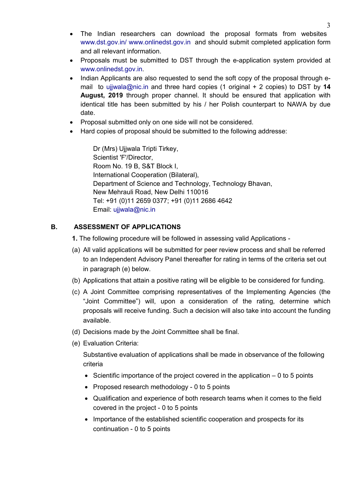- The Indian researchers can download the proposal formats from websites [www.dst.gov.in/](http://www.dst.gov.in/) [www.onlinedst.gov.in](http://www.onlinedst.gov.in/) and should submit completed application form and all relevant information.
- Proposals must be submitted to DST through the e-application system provided at [www.onlinedst.gov.in](http://www.onlinedst.gov.in/).
- Indian Applicants are also requested to send the soft copy of the proposal through email to [ujjwala@nic.in](mailto:ujjwala@nic.in) and three hard copies (1 original  $+$  2 copies) to DST by 14 August, 2019 through proper channel. It should be ensured that application with identical title has been submitted by his / her Polish counterpart to NAWA by due date.
- Proposal submitted only on one side will not be considered.
- Hard copies of proposal should be submitted to the following addresse:

Dr (Mrs) Ujjwala Tripti Tirkey, Scientist 'F'/Director, Room No. 19 B, S&T Block I, International Cooperation (Bilateral), Department of Science and Technology, Technology Bhavan, New Mehrauli Road, New Delhi 110016 Tel: +91 (0)11 2659 0377; +91 (0)11 2686 4642 Email: [ujjwala@nic.in](mailto:ujjwala@nic.in)

# B. ASSESSMENT OF APPLICATIONS

- 1. The following procedure will be followed in assessing valid Applications -
- (a) All valid applications will be submitted for peer review process and shall be referred to an Independent Advisory Panel thereafter for rating in terms of the criteria set out in paragraph (e) below.
- (b) Applications that attain a positive rating will be eligible to be considered for funding.
- (c) A Joint Committee comprising representatives of the Implementing Agencies (the "Joint Committee") will, upon a consideration of the rating, determine which proposals will receive funding. Such a decision will also take into account the funding available.
- (d) Decisions made by the Joint Committee shall be final.
- (e) Evaluation Criteria:

Substantive evaluation of applications shall be made in observance of the following criteria

- $\bullet$  Scientific importance of the project covered in the application  $-0$  to 5 points
- Proposed research methodology 0 to 5 points
- Qualification and experience of both research teams when it comes to the field covered in the project - 0 to 5 points
- Importance of the established scientific cooperation and prospects for its continuation - 0 to 5 points